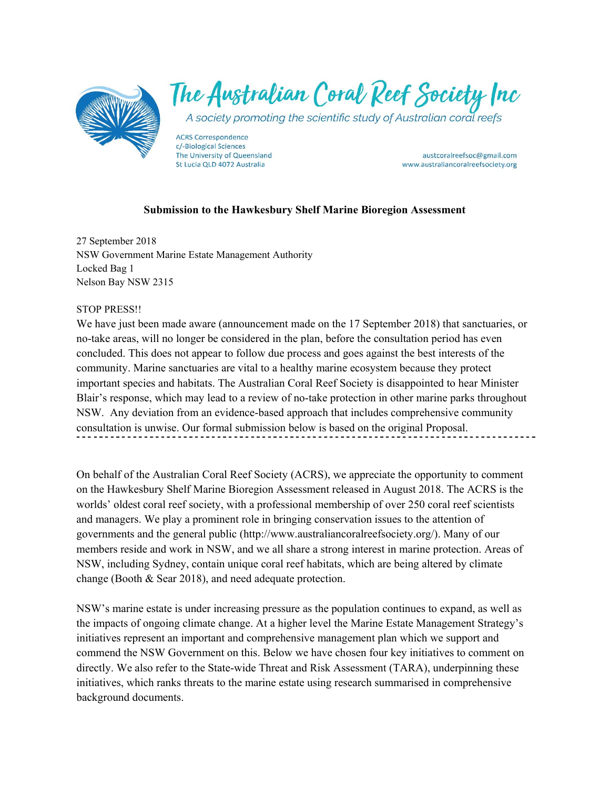

The Australian Coral Reef Society Inc

A society promoting the scientific study of Australian coral reefs

**ACRS Correspondence** c/-Biological Sciences The University of Queensland St Lucia QLD 4072 Australia

austcoralreefsoc@gmail.com www.australiancoralreefsociety.org

# **Submission to the Hawkesbury Shelf Marine Bioregion Assessment**

27 September 2018 NSW Government Marine Estate Management Authority Locked Bag 1 Nelson Bay NSW 2315

### STOP PRESS!!

We have just been made aware (announcement made on the 17 September 2018) that sanctuaries, or no-take areas, will no longer be considered in the plan, before the consultation period has even concluded. This does not appear to follow due process and goes against the best interests of the community. Marine sanctuaries are vital to a healthy marine ecosystem because they protect important species and habitats. The Australian Coral Reef Society is disappointed to hear Minister Blair's response, which may lead to a review of no-take protection in other marine parks throughout NSW. Any deviation from an evidence-based approach that includes comprehensive community consultation is unwise. Our formal submission below is based on the original Proposal.

On behalf of the Australian Coral Reef Society (ACRS), we appreciate the opportunity to comment on the Hawkesbury Shelf Marine Bioregion Assessment released in August 2018. The ACRS is the worlds' oldest coral reef society, with a professional membership of over 250 coral reef scientists and managers. We play a prominent role in bringing conservation issues to the attention of governments and the general public (http://www.australiancoralreefsociety.org/). Many of our members reside and work in NSW, and we all share a strong interest in marine protection. Areas of NSW, including Sydney, contain unique coral reef habitats, which are being altered by climate change (Booth & Sear 2018), and need adequate protection.

NSW's marine estate is under increasing pressure as the population continues to expand, as well as the impacts of ongoing climate change. At a higher level the Marine Estate Management Strategy's initiatives represent an important and comprehensive management plan which we support and commend the NSW Government on this. Below we have chosen four key initiatives to comment on directly. We also refer to the State-wide Threat and Risk Assessment (TARA), underpinning these initiatives, which ranks threats to the marine estate using research summarised in comprehensive background documents.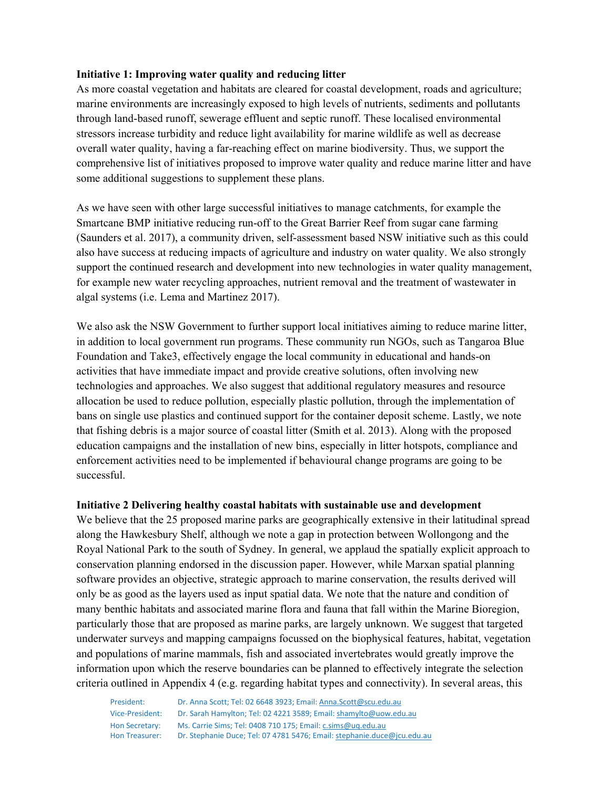## **Initiative 1: Improving water quality and reducing litter**

As more coastal vegetation and habitats are cleared for coastal development, roads and agriculture; marine environments are increasingly exposed to high levels of nutrients, sediments and pollutants through land-based runoff, sewerage effluent and septic runoff. These localised environmental stressors increase turbidity and reduce light availability for marine wildlife as well as decrease overall water quality, having a far-reaching effect on marine biodiversity. Thus, we support the comprehensive list of initiatives proposed to improve water quality and reduce marine litter and have some additional suggestions to supplement these plans.

As we have seen with other large successful initiatives to manage catchments, for example the Smartcane BMP initiative reducing run-off to the Great Barrier Reef from sugar cane farming (Saunders et al. 2017), a community driven, self-assessment based NSW initiative such as this could also have success at reducing impacts of agriculture and industry on water quality. We also strongly support the continued research and development into new technologies in water quality management, for example new water recycling approaches, nutrient removal and the treatment of wastewater in algal systems (i.e. Lema and Martinez 2017).

We also ask the NSW Government to further support local initiatives aiming to reduce marine litter, in addition to local government run programs. These community run NGOs, such as Tangaroa Blue Foundation and Take3, effectively engage the local community in educational and hands-on activities that have immediate impact and provide creative solutions, often involving new technologies and approaches. We also suggest that additional regulatory measures and resource allocation be used to reduce pollution, especially plastic pollution, through the implementation of bans on single use plastics and continued support for the container deposit scheme. Lastly, we note that fishing debris is a major source of coastal litter (Smith et al. 2013). Along with the proposed education campaigns and the installation of new bins, especially in litter hotspots, compliance and enforcement activities need to be implemented if behavioural change programs are going to be successful.

## **Initiative 2 Delivering healthy coastal habitats with sustainable use and development**

We believe that the 25 proposed marine parks are geographically extensive in their latitudinal spread along the Hawkesbury Shelf, although we note a gap in protection between Wollongong and the Royal National Park to the south of Sydney. In general, we applaud the spatially explicit approach to conservation planning endorsed in the discussion paper. However, while Marxan spatial planning software provides an objective, strategic approach to marine conservation, the results derived will only be as good as the layers used as input spatial data. We note that the nature and condition of many benthic habitats and associated marine flora and fauna that fall within the Marine Bioregion, particularly those that are proposed as marine parks, are largely unknown. We suggest that targeted underwater surveys and mapping campaigns focussed on the biophysical features, habitat, vegetation and populations of marine mammals, fish and associated invertebrates would greatly improve the information upon which the reserve boundaries can be planned to effectively integrate the selection criteria outlined in Appendix 4 (e.g. regarding habitat types and connectivity). In several areas, this

| President:      | Dr. Anna Scott: Tel: 02 6648 3923: Email: Anna.Scott@scu.edu.au         |
|-----------------|-------------------------------------------------------------------------|
| Vice-President: | Dr. Sarah Hamylton; Tel: 02 4221 3589; Email: shamylto@uow.edu.au       |
| Hon Secretary:  | Ms. Carrie Sims: Tel: 0408 710 175: Email: c.sims@ug.edu.au             |
| Hon Treasurer:  | Dr. Stephanie Duce; Tel: 07 4781 5476; Email: stephanie.duce@jcu.edu.au |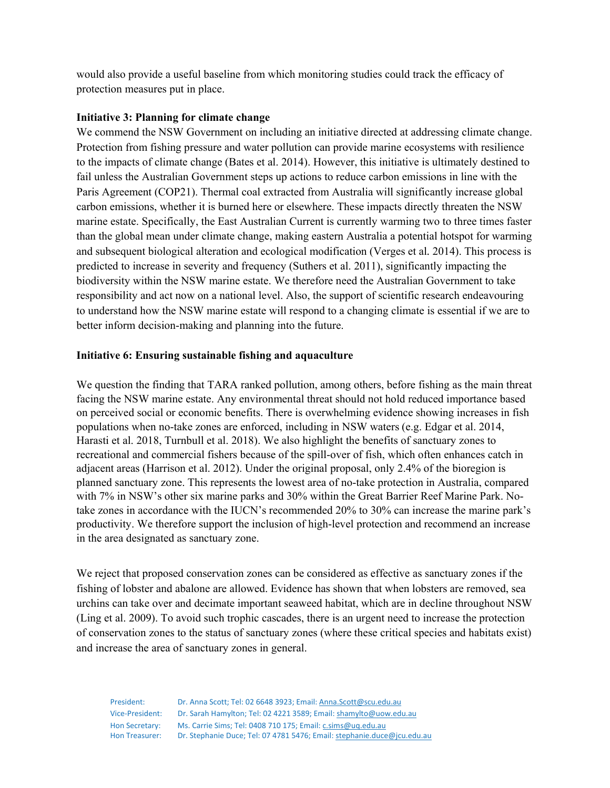would also provide a useful baseline from which monitoring studies could track the efficacy of protection measures put in place.

# **Initiative 3: Planning for climate change**

We commend the NSW Government on including an initiative directed at addressing climate change. Protection from fishing pressure and water pollution can provide marine ecosystems with resilience to the impacts of climate change (Bates et al. 2014). However, this initiative is ultimately destined to fail unless the Australian Government steps up actions to reduce carbon emissions in line with the Paris Agreement (COP21). Thermal coal extracted from Australia will significantly increase global carbon emissions, whether it is burned here or elsewhere. These impacts directly threaten the NSW marine estate. Specifically, the East Australian Current is currently warming two to three times faster than the global mean under climate change, making eastern Australia a potential hotspot for warming and subsequent biological alteration and ecological modification (Verges et al*.* 2014). This process is predicted to increase in severity and frequency (Suthers et al. 2011), significantly impacting the biodiversity within the NSW marine estate. We therefore need the Australian Government to take responsibility and act now on a national level. Also, the support of scientific research endeavouring to understand how the NSW marine estate will respond to a changing climate is essential if we are to better inform decision-making and planning into the future.

## **Initiative 6: Ensuring sustainable fishing and aquaculture**

We question the finding that TARA ranked pollution, among others, before fishing as the main threat facing the NSW marine estate. Any environmental threat should not hold reduced importance based on perceived social or economic benefits. There is overwhelming evidence showing increases in fish populations when no-take zones are enforced, including in NSW waters (e.g. Edgar et al. 2014, Harasti et al. 2018, Turnbull et al. 2018). We also highlight the benefits of sanctuary zones to recreational and commercial fishers because of the spill-over of fish, which often enhances catch in adjacent areas (Harrison et al. 2012). Under the original proposal, only 2.4% of the bioregion is planned sanctuary zone. This represents the lowest area of no-take protection in Australia, compared with 7% in NSW's other six marine parks and 30% within the Great Barrier Reef Marine Park. Notake zones in accordance with the IUCN's recommended 20% to 30% can increase the marine park's productivity. We therefore support the inclusion of high-level protection and recommend an increase in the area designated as sanctuary zone.

We reject that proposed conservation zones can be considered as effective as sanctuary zones if the fishing of lobster and abalone are allowed. Evidence has shown that when lobsters are removed, sea urchins can take over and decimate important seaweed habitat, which are in decline throughout NSW (Ling et al. 2009). To avoid such trophic cascades, there is an urgent need to increase the protection of conservation zones to the status of sanctuary zones (where these critical species and habitats exist) and increase the area of sanctuary zones in general.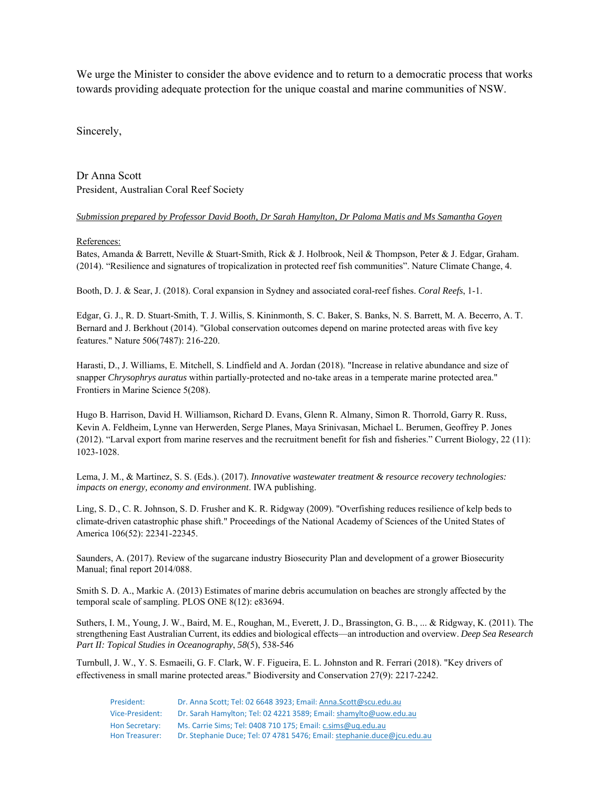We urge the Minister to consider the above evidence and to return to a democratic process that works towards providing adequate protection for the unique coastal and marine communities of NSW.

Sincerely,

Dr Anna Scott President, Australian Coral Reef Society

#### *Submission prepared by Professor David Booth, Dr Sarah Hamylton, Dr Paloma Matis and Ms Samantha Goyen*

#### References:

Bates, Amanda & Barrett, Neville & Stuart‐Smith, Rick & J. Holbrook, Neil & Thompson, Peter & J. Edgar, Graham. (2014). "Resilience and signatures of tropicalization in protected reef fish communities". Nature Climate Change, 4.

Booth, D. J. & Sear, J. (2018). Coral expansion in Sydney and associated coral-reef fishes. *Coral Reefs*, 1-1.

Edgar, G. J., R. D. Stuart-Smith, T. J. Willis, S. Kininmonth, S. C. Baker, S. Banks, N. S. Barrett, M. A. Becerro, A. T. Bernard and J. Berkhout (2014). "Global conservation outcomes depend on marine protected areas with five key features." Nature 506(7487): 216-220.

Harasti, D., J. Williams, E. Mitchell, S. Lindfield and A. Jordan (2018). "Increase in relative abundance and size of snapper *Chrysophrys auratus* within partially-protected and no-take areas in a temperate marine protected area." Frontiers in Marine Science 5(208).

Hugo B. Harrison, David H. Williamson, Richard D. Evans, Glenn R. Almany, Simon R. Thorrold, Garry R. Russ, Kevin A. Feldheim, Lynne van Herwerden, Serge Planes, Maya Srinivasan, Michael L. Berumen, Geoffrey P. Jones (2012). "Larval export from marine reserves and the recruitment benefit for fish and fisheries." Current Biology, 22 (11): 1023-1028.

Lema, J. M., & Martinez, S. S. (Eds.). (2017). *Innovative wastewater treatment & resource recovery technologies: impacts on energy, economy and environment*. IWA publishing.

Ling, S. D., C. R. Johnson, S. D. Frusher and K. R. Ridgway (2009). "Overfishing reduces resilience of kelp beds to climate-driven catastrophic phase shift." Proceedings of the National Academy of Sciences of the United States of America 106(52): 22341-22345.

Saunders, A. (2017). Review of the sugarcane industry Biosecurity Plan and development of a grower Biosecurity Manual; final report 2014/088.

Smith S. D. A., Markic A. (2013) Estimates of marine debris accumulation on beaches are strongly affected by the temporal scale of sampling. PLOS ONE 8(12): e83694.

Suthers, I. M., Young, J. W., Baird, M. E., Roughan, M., Everett, J. D., Brassington, G. B., ... & Ridgway, K. (2011). The strengthening East Australian Current, its eddies and biological effects—an introduction and overview. *Deep Sea Research Part II: Topical Studies in Oceanography*, *58*(5), 538-546

Turnbull, J. W., Y. S. Esmaeili, G. F. Clark, W. F. Figueira, E. L. Johnston and R. Ferrari (2018). "Key drivers of effectiveness in small marine protected areas." Biodiversity and Conservation 27(9): 2217-2242.

| President:      | Dr. Anna Scott: Tel: 02 6648 3923: Email: Anna.Scott@scu.edu.au         |
|-----------------|-------------------------------------------------------------------------|
| Vice-President: | Dr. Sarah Hamylton; Tel: 02 4221 3589; Email: shamylto@uow.edu.au       |
| Hon Secretary:  | Ms. Carrie Sims: Tel: 0408 710 175: Email: c.sims@ug.edu.au             |
| Hon Treasurer:  | Dr. Stephanie Duce; Tel: 07 4781 5476; Email: stephanie.duce@jcu.edu.au |